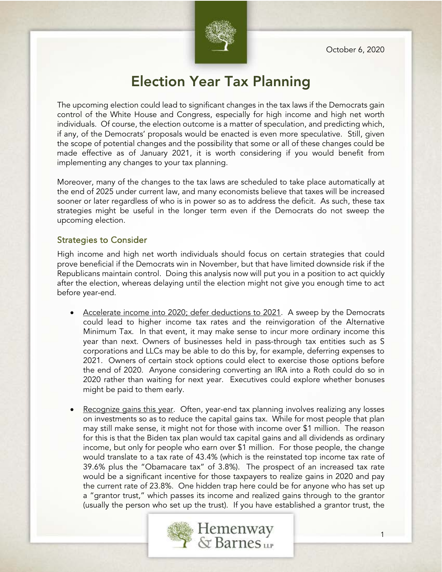October 6, 2020



# Election Year Tax Planning

The upcoming election could lead to significant changes in the tax laws if the Democrats gain control of the White House and Congress, especially for high income and high net worth individuals. Of course, the election outcome is a matter of speculation, and predicting which, if any, of the Democrats' proposals would be enacted is even more speculative. Still, given the scope of potential changes and the possibility that some or all of these changes could be made effective as of January 2021, it is worth considering if you would benefit from implementing any changes to your tax planning.

Moreover, many of the changes to the tax laws are scheduled to take place automatically at the end of 2025 under current law, and many economists believe that taxes will be increased sooner or later regardless of who is in power so as to address the deficit. As such, these tax strategies might be useful in the longer term even if the Democrats do not sweep the upcoming election.

#### Strategies to Consider

High income and high net worth individuals should focus on certain strategies that could prove beneficial if the Democrats win in November, but that have limited downside risk if the Republicans maintain control. Doing this analysis now will put you in a position to act quickly after the election, whereas delaying until the election might not give you enough time to act before year-end.

- Accelerate income into 2020; defer deductions to 2021. A sweep by the Democrats could lead to higher income tax rates and the reinvigoration of the Alternative Minimum Tax. In that event, it may make sense to incur more ordinary income this year than next. Owners of businesses held in pass-through tax entities such as S corporations and LLCs may be able to do this by, for example, deferring expenses to 2021. Owners of certain stock options could elect to exercise those options before the end of 2020. Anyone considering converting an IRA into a Roth could do so in 2020 rather than waiting for next year. Executives could explore whether bonuses might be paid to them early.
- Recognize gains this year. Often, year-end tax planning involves realizing any losses on investments so as to reduce the capital gains tax. While for most people that plan may still make sense, it might not for those with income over \$1 million. The reason for this is that the Biden tax plan would tax capital gains and all dividends as ordinary income, but only for people who earn over \$1 million. For those people, the change would translate to a tax rate of 43.4% (which is the reinstated top income tax rate of 39.6% plus the "Obamacare tax" of 3.8%). The prospect of an increased tax rate would be a significant incentive for those taxpayers to realize gains in 2020 and pay the current rate of 23.8%. One hidden trap here could be for anyone who has set up a "grantor trust," which passes its income and realized gains through to the grantor (usually the person who set up the trust). If you have established a grantor trust, the

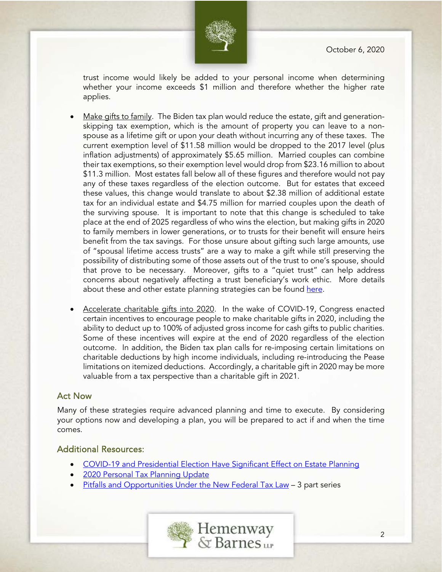

trust income would likely be added to your personal income when determining whether your income exceeds \$1 million and therefore whether the higher rate applies.

- Make gifts to family. The Biden tax plan would reduce the estate, gift and generationskipping tax exemption, which is the amount of property you can leave to a nonspouse as a lifetime gift or upon your death without incurring any of these taxes. The current exemption level of \$11.58 million would be dropped to the 2017 level (plus inflation adjustments) of approximately \$5.65 million. Married couples can combine their tax exemptions, so their exemption level would drop from \$23.16 million to about \$11.3 million. Most estates fall below all of these figures and therefore would not pay any of these taxes regardless of the election outcome. But for estates that exceed these values, this change would translate to about \$2.38 million of additional estate tax for an individual estate and \$4.75 million for married couples upon the death of the surviving spouse. It is important to note that this change is scheduled to take place at the end of 2025 regardless of who wins the election, but making gifts in 2020 to family members in lower generations, or to trusts for their benefit will ensure heirs benefit from the tax savings. For those unsure about gifting such large amounts, use of "spousal lifetime access trusts" are a way to make a gift while still preserving the possibility of distributing some of those assets out of the trust to one's spouse, should that prove to be necessary. Moreover, gifts to a "quiet trust" can help address concerns about negatively affecting a trust beneficiary's work ethic. More details about these and other estate planning strategies can be found [here.](https://hembar.com/uploads/1280/doc/New_Tax_Planning_Strategies_Part_3.pdf)
- Accelerate charitable gifts into 2020. In the wake of COVID-19, Congress enacted certain incentives to encourage people to make charitable gifts in 2020, including the ability to deduct up to 100% of adjusted gross income for cash gifts to public charities. Some of these incentives will expire at the end of 2020 regardless of the election outcome. In addition, the Biden tax plan calls for re-imposing certain limitations on charitable deductions by high income individuals, including re-introducing the Pease limitations on itemized deductions. Accordingly, a charitable gift in 2020 may be more valuable from a tax perspective than a charitable gift in 2021.

### Act Now

Many of these strategies require advanced planning and time to execute. By considering your options now and developing a plan, you will be prepared to act if and when the time comes.

### Additional Resources:

- [COVID-19 and Presidential Election Have Significant Effect on Estate Planning](https://hembar.com/news_resources/covid-19-and-presidential-election-have-significant-effect-on-estate-planning)
- [2020 Personal Tax Planning Update](https://hembar.com/news_resources/2020-personal-tax-planning-update)
- [Pitfalls and Opportunities Under the New Federal Tax Law](https://hembar.com/news_resources/pitfalls-and-opportunities-under-the-new-federal-tax-law-part-3) 3 part series